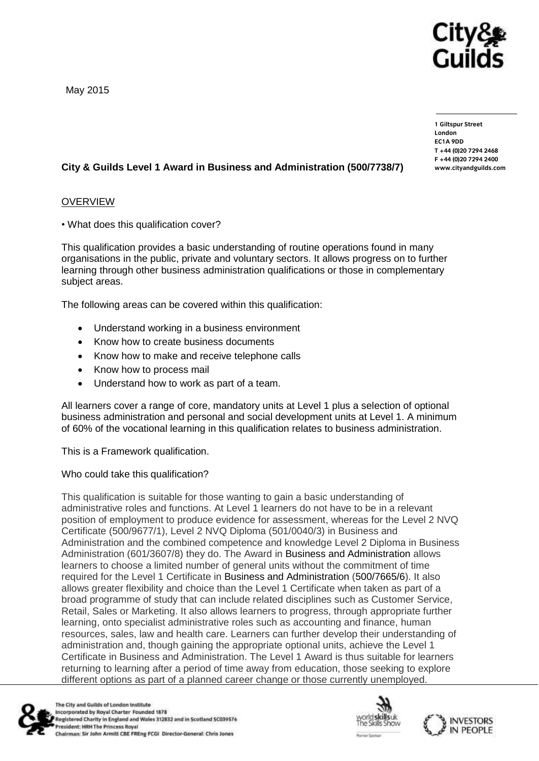

May 2015

**1 Giltspur Street EC1A 9DD**  $T + 44 (0)20 7294 2468$ **T +44 (0)20 7294 246[8](http://www.cityandguilds.com/)**  $www.cityandguilds.com$ **[www.cityandguilds.com](http://www.cityandguilds.com/)**

# **City & Guilds Level 1 Award in Business and Administration (500/7738/7)**

## OVERVIEW

• What does this qualification cover?

This qualification provides a basic understanding of routine operations found in many organisations in the public, private and voluntary sectors. It allows progress on to further learning through other business administration qualifications or those in complementary subject areas.

The following areas can be covered within this qualification:

- Understand working in a business environment
- Know how to create business documents
- Know how to make and receive telephone calls
- Know how to process mail
- Understand how to work as part of a team.

All learners cover a range of core, mandatory units at Level 1 plus a selection of optional business administration and personal and social development units at Level 1. A minimum of 60% of the vocational learning in this qualification relates to business administration.

This is a Framework qualification.

Who could take this qualification?

This qualification is suitable for those wanting to gain a basic understanding of administrative roles and functions. At Level 1 learners do not have to be in a relevant position of employment to produce evidence for assessment, whereas for the Level 2 NVQ Certificate (500/9677/1), Level 2 NVQ Diploma (501/0040/3) in Business and Administration and the combined competence and knowledge Level 2 Diploma in Business Administration (601/3607/8) they do. The Award in Business and Administration allows learners to choose a limited number of general units without the commitment of time required for the Level 1 Certificate in Business and Administration (500/7665/6). It also allows greater flexibility and choice than the Level 1 Certificate when taken as part of a broad programme of study that can include related disciplines such as Customer Service, Retail, Sales or Marketing. It also allows learners to progress, through appropriate further learning, onto specialist administrative roles such as accounting and finance, human resources, sales, law and health care. Learners can further develop their understanding of administration and, though gaining the appropriate optional units, achieve the Level 1 Certificate in Business and Administration. The Level 1 Award is thus suitable for learners returning to learning after a period of time away from education, those seeking to explore different options as part of a planned career change or those currently unemployed.